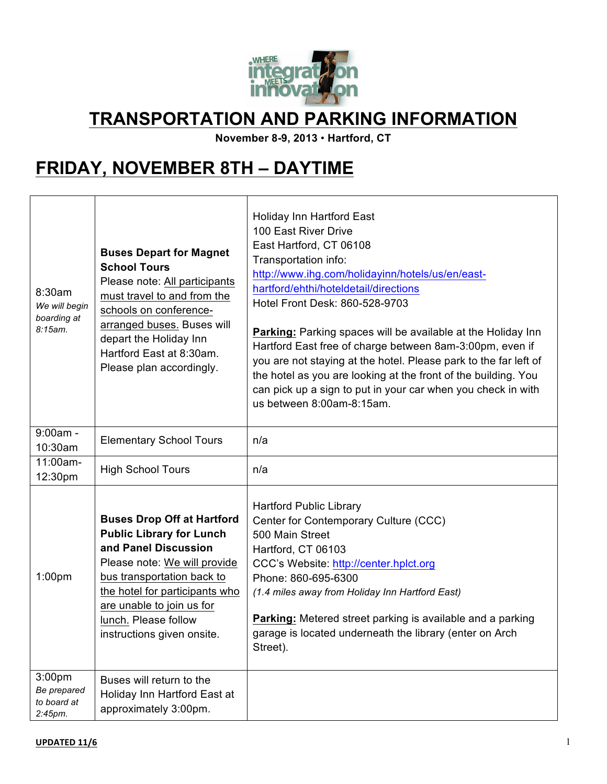

### **TRANSPORTATION AND PARKING INFORMATION**

**November 8-9, 2013** • **Hartford, CT**

# **FRIDAY, NOVEMBER 8TH – DAYTIME**

| 8:30am<br>We will begin<br>boarding at<br>8:15am.           | <b>Buses Depart for Magnet</b><br><b>School Tours</b><br>Please note: All participants<br>must travel to and from the<br>schools on conference-<br>arranged buses. Buses will<br>depart the Holiday Inn<br>Hartford East at 8:30am.<br>Please plan accordingly.                 | Holiday Inn Hartford East<br>100 East River Drive<br>East Hartford, CT 06108<br>Transportation info:<br>http://www.ihg.com/holidayinn/hotels/us/en/east-<br>hartford/ehthi/hoteldetail/directions<br>Hotel Front Desk: 860-528-9703<br><b>Parking:</b> Parking spaces will be available at the Holiday Inn<br>Hartford East free of charge between 8am-3:00pm, even if<br>you are not staying at the hotel. Please park to the far left of<br>the hotel as you are looking at the front of the building. You<br>can pick up a sign to put in your car when you check in with<br>us between 8:00am-8:15am. |
|-------------------------------------------------------------|---------------------------------------------------------------------------------------------------------------------------------------------------------------------------------------------------------------------------------------------------------------------------------|-----------------------------------------------------------------------------------------------------------------------------------------------------------------------------------------------------------------------------------------------------------------------------------------------------------------------------------------------------------------------------------------------------------------------------------------------------------------------------------------------------------------------------------------------------------------------------------------------------------|
| $9:00am -$<br>10:30am                                       | <b>Elementary School Tours</b>                                                                                                                                                                                                                                                  | n/a                                                                                                                                                                                                                                                                                                                                                                                                                                                                                                                                                                                                       |
| 11:00am-<br>12:30pm                                         | <b>High School Tours</b>                                                                                                                                                                                                                                                        | n/a                                                                                                                                                                                                                                                                                                                                                                                                                                                                                                                                                                                                       |
| 1:00 <sub>pm</sub>                                          | <b>Buses Drop Off at Hartford</b><br><b>Public Library for Lunch</b><br>and Panel Discussion<br>Please note: We will provide<br>bus transportation back to<br>the hotel for participants who<br>are unable to join us for<br>lunch. Please follow<br>instructions given onsite. | <b>Hartford Public Library</b><br>Center for Contemporary Culture (CCC)<br>500 Main Street<br>Hartford, CT 06103<br>CCC's Website: http://center.hplct.org<br>Phone: 860-695-6300<br>(1.4 miles away from Holiday Inn Hartford East)<br>Parking: Metered street parking is available and a parking<br>garage is located underneath the library (enter on Arch<br>Street).                                                                                                                                                                                                                                 |
| 3:00 <sub>pm</sub><br>Be prepared<br>to board at<br>2:45pm. | Buses will return to the<br>Holiday Inn Hartford East at<br>approximately 3:00pm.                                                                                                                                                                                               |                                                                                                                                                                                                                                                                                                                                                                                                                                                                                                                                                                                                           |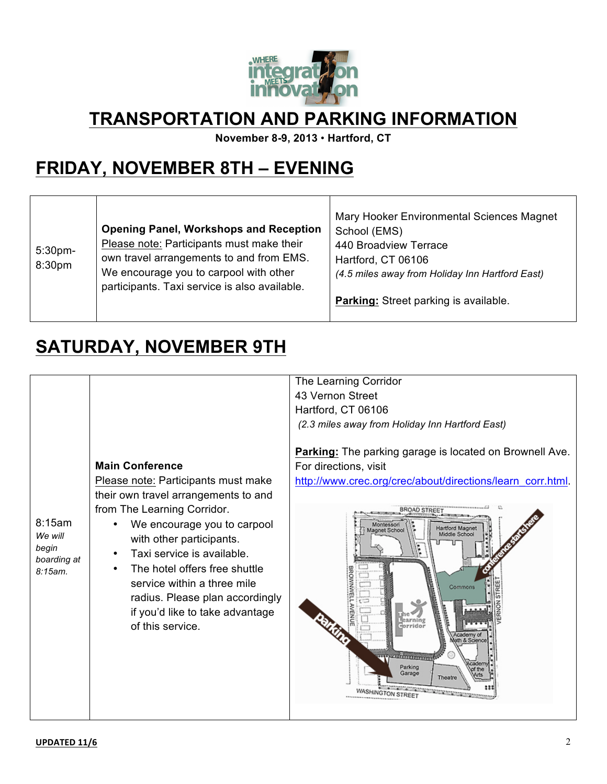

## **TRANSPORTATION AND PARKING INFORMATION**

**November 8-9, 2013** • **Hartford, CT**

# **FRIDAY, NOVEMBER 8TH – EVENING**

| 5:30pm-<br>8:30pm | <b>Opening Panel, Workshops and Reception</b><br>Please note: Participants must make their<br>own travel arrangements to and from EMS.<br>We encourage you to carpool with other<br>participants. Taxi service is also available. | Mary Hooker Environmental Sciences Magnet<br>School (EMS)<br>440 Broadview Terrace<br>Hartford, CT 06106<br>(4.5 miles away from Holiday Inn Hartford East)<br><b>Parking:</b> Street parking is available. |
|-------------------|-----------------------------------------------------------------------------------------------------------------------------------------------------------------------------------------------------------------------------------|-------------------------------------------------------------------------------------------------------------------------------------------------------------------------------------------------------------|
|-------------------|-----------------------------------------------------------------------------------------------------------------------------------------------------------------------------------------------------------------------------------|-------------------------------------------------------------------------------------------------------------------------------------------------------------------------------------------------------------|

# **SATURDAY, NOVEMBER 9TH**